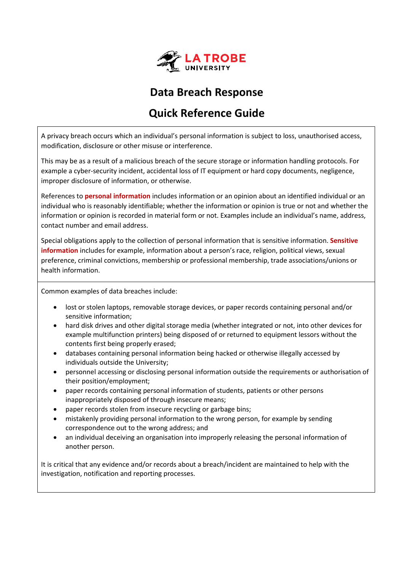

## **Data Breach Response**

# **Quick Reference Guide**

A privacy breach occurs which an individual's personal information is subject to loss, unauthorised access, modification, disclosure or other misuse or interference.

This may be as a result of a malicious breach of the secure storage or information handling protocols. For example a cyber-security incident, accidental loss of IT equipment or hard copy documents, negligence, improper disclosure of information, or otherwise.

References to **personal information** includes information or an opinion about an identified individual or an individual who is reasonably identifiable; whether the information or opinion is true or not and whether the information or opinion is recorded in material form or not. Examples include an individual's name, address, contact number and email address.

Special obligations apply to the collection of personal information that is sensitive information. **Sensitive information** includes for example, information about a person's race, religion, political views, sexual preference, criminal convictions, membership or professional membership, trade associations/unions or health information.

Common examples of data breaches include:

- lost or stolen laptops, removable storage devices, or paper records containing personal and/or sensitive information;
- hard disk drives and other digital storage media (whether integrated or not, into other devices for example multifunction printers) being disposed of or returned to equipment lessors without the contents first being properly erased;
- databases containing personal information being hacked or otherwise illegally accessed by individuals outside the University;
- personnel accessing or disclosing personal information outside the requirements or authorisation of their position/employment;
- paper records containing personal information of students, patients or other persons inappropriately disposed of through insecure means;
- paper records stolen from insecure recycling or garbage bins;
- mistakenly providing personal information to the wrong person, for example by sending correspondence out to the wrong address; and
- an individual deceiving an organisation into improperly releasing the personal information of another person.

It is critical that any evidence and/or records about a breach/incident are maintained to help with the investigation, notification and reporting processes.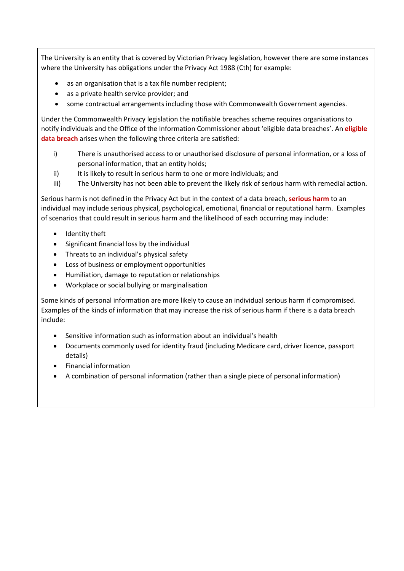The University is an entity that is covered by Victorian Privacy legislation, however there are some instances where the University has obligations under the Privacy Act 1988 (Cth) for example:

- as an organisation that is a tax file number recipient;
- as a private health service provider; and
- some contractual arrangements including those with Commonwealth Government agencies.

Under the Commonwealth Privacy legislation the notifiable breaches scheme requires organisations to notify individuals and the Office of the Information Commissioner about 'eligible data breaches'. An **eligible data breach** arises when the following three criteria are satisfied:

- i) There is unauthorised access to or unauthorised disclosure of personal information, or a loss of personal information, that an entity holds;
- ii) It is likely to result in serious harm to one or more individuals; and
- iii) The University has not been able to prevent the likely risk of serious harm with remedial action.

Serious harm is not defined in the Privacy Act but in the context of a data breach, **serious harm** to an individual may include serious physical, psychological, emotional, financial or reputational harm. Examples of scenarios that could result in serious harm and the likelihood of each occurring may include:

- Identity theft
- Significant financial loss by the individual
- Threats to an individual's physical safety
- Loss of business or employment opportunities
- Humiliation, damage to reputation or relationships
- Workplace or social bullying or marginalisation

Some kinds of personal information are more likely to cause an individual serious harm if compromised. Examples of the kinds of information that may increase the risk of serious harm if there is a data breach include:

- Sensitive information such as information about an individual's health
- Documents commonly used for identity fraud (including Medicare card, driver licence, passport details)
- Financial information
- A combination of personal information (rather than a single piece of personal information)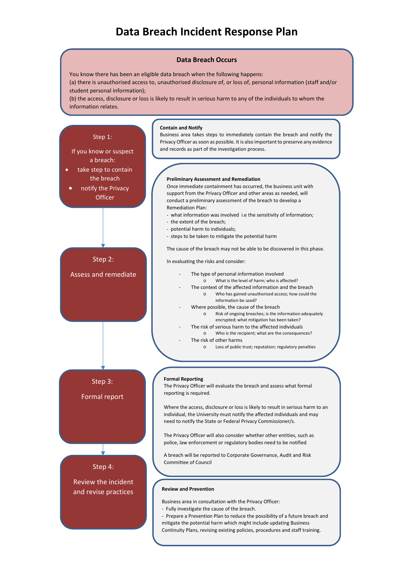## **Data Breach Incident Response Plan**

#### **Data Breach Occurs**

You know there has been an eligible data breach when the following happens: (a) there is unauthorised access to, unauthorised disclosure of, or loss of, personal information (staff and/or

student personal information);

(b) the access, disclosure or loss is likely to result in serious harm to any of the individuals to whom the information relates.

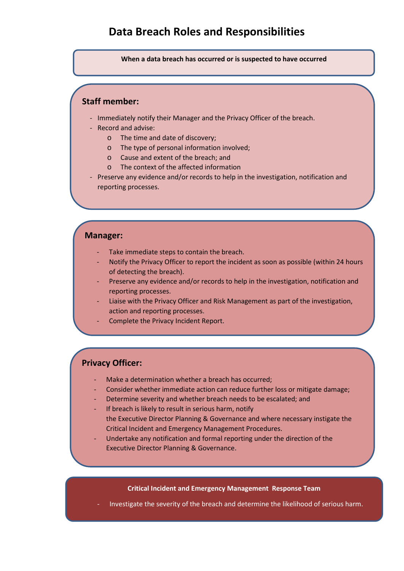### **Data Breach Roles and Responsibilities**

**When a data breach has occurred or is suspected to have occurred**

### **Staff member:**

- Immediately notify their Manager and the Privacy Officer of the breach.
- Record and advise:
	- o The time and date of discovery;
	- o The type of personal information involved;
	- o Cause and extent of the breach; and
	- o The context of the affected information
- Preserve any evidence and/or records to help in the investigation, notification and reporting processes.

### **Manager:**

- Take immediate steps to contain the breach.
- Notify the Privacy Officer to report the incident as soon as possible (within 24 hours of detecting the breach).
- Preserve any evidence and/or records to help in the investigation, notification and reporting processes.
- Liaise with the Privacy Officer and Risk Management as part of the investigation, action and reporting processes.
- Complete the Privacy Incident Report.

### **Privacy Officer:**

- Make a determination whether a breach has occurred;
- Consider whether immediate action can reduce further loss or mitigate damage;
- Determine severity and whether breach needs to be escalated; and
- If breach is likely to result in serious harm, notify the Executive Director Planning & Governance and where necessary instigate the Critical Incident and Emergency Management Procedures.
- Undertake any notification and formal reporting under the direction of the Executive Director Planning & Governance.

#### **Critical Incident and Emergency Management Response Team**

Investigate the severity of the breach and determine the likelihood of serious harm.